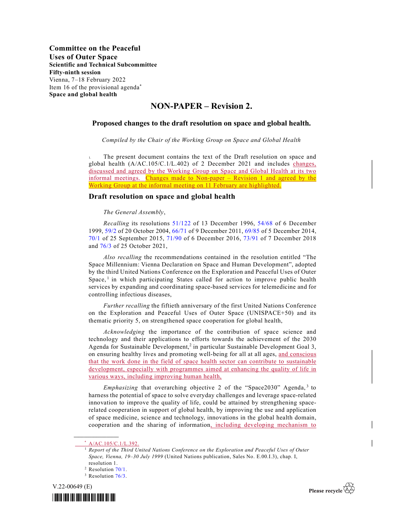## NON-PAPER – Revision 2.

## Proposed changes to the draft resolution on space and global health.

Compiled by the Chair of the Working Group on Space and Global Health

The present document contains the text of the Draft resolution on space and global health (A/AC.105/C.1/L.402) of 2 December 2021 and includes changes, discussed and agreed by the Working Group on Space and Global Health at its two informal meetings. Changes made to Non-paper – Revision 1 and agreed by the Working Group at the informal meeting on 11 February are highlighted.

## Draft resolution on space and global health

## The General Assembly,

Recalling its resolutions 51/122 of 13 December 1996, 54/68 of 6 December 1999, 59/2 of 20 October 2004, 66/71 of 9 December 2011, 69/85 of 5 December 2014, 70/1 of 25 September 2015, 71/90 of 6 December 2016, 73/91 of 7 December 2018 and 76/3 of 25 October 2021,

 Also recalling the recommendations contained in the resolution entitled "The Space Millennium: Vienna Declaration on Space and Human Development", adopted by the third United Nations Conference on the Exploration and Peaceful Uses of Outer Space,<sup>1</sup> in which participating States called for action to improve public health services by expanding and coordinating space-based services for telemedicine and for controlling infectious diseases,

 Further recalling the fiftieth anniversary of the first United Nations Conference on the Exploration and Peaceful Uses of Outer Space (UNISPACE+50) and its thematic priority 5, on strengthened space cooperation for global health,

Acknowledging the importance of the contribution of space science and technology and their applications to efforts towards the achievement of the 2030 Agenda for Sustainable Development,<sup>2</sup> in particular Sustainable Development Goal 3, on ensuring healthy lives and promoting well-being for all at all ages, and conscious that the work done in the field of space health sector can contribute to sustainable development, especially with programmes aimed at enhancing the quality of life in various ways, including improving human health,

*Emphasizing* that overarching objective 2 of the "Space2030" Agenda,  $3$  to harness the potential of space to solve everyday challenges and leverage space-related innovation to improve the quality of life, could be attained by strengthening spacerelated cooperation in support of global health, by improving the use and application of space medicine, science and technology, innovations in the global health domain, cooperation and the sharing of information, including developing mechanism to

 $\_$ 

<sup>&</sup>lt;sup>3</sup> Resolution 76/3.







A/AC.105/C.1/L.392.

<sup>1</sup> Report of the Third United Nations Conference on the Exploration and Peaceful Uses of Outer Space, Vienna, 19–30 July 1999 (United Nations publication, Sales No. E.00.I.3), chap. I, resolution 1.

<sup>&</sup>lt;sup>2</sup> Resolution 70/1.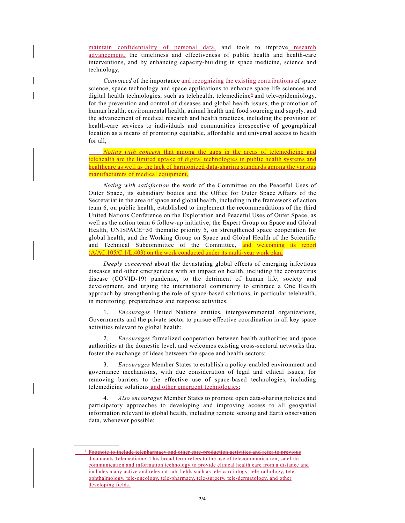maintain confidentiality of personal data, and tools to improve research advancement, the timeliness and effectiveness of public health and health-care interventions, and by enhancing capacity-building in space medicine, science and technology,

Convinced of the importance and recognizing the existing contributions of space science, space technology and space applications to enhance space life sciences and digital health technologies, such as telehealth, telemedicine<sup>4</sup> and tele-epidemiology, for the prevention and control of diseases and global health issues, the promotion of human health, environmental health, animal health and food sourcing and supply, and the advancement of medical research and health practices, including the provision of health-care services to individuals and communities irrespective of geographical location as a means of promoting equitable, affordable and universal access to health for all,

Noting with concern that among the gaps in the areas of telemedicine and telehealth are the limited uptake of digital technologies in public health systems and healthcare as well as the lack of harmonized data-sharing standards among the various manufacturers of medical equipment,

 Noting with satisfaction the work of the Committee on the Peaceful Uses of Outer Space, its subsidiary bodies and the Office for Outer Space Affairs of the Secretariat in the area of space and global health, including in the framework of action team 6, on public health, established to implement the recommendations of the third United Nations Conference on the Exploration and Peaceful Uses of Outer Space, as well as the action team 6 follow-up initiative, the Expert Group on Space and Global Health, UNISPACE+50 thematic priority 5, on strengthened space cooperation for global health, and the Working Group on Space and Global Health of the Scientific and Technical Subcommittee of the Committee, and welcoming its report  $(A/AC.105/C.1/L.403)$  on the work conducted under its multi-year work plan,

 Deeply concerned about the devastating global effects of emerging infectious diseases and other emergencies with an impact on health, including the coronavirus disease (COVID-19) pandemic, to the detriment of human life, society and development, and urging the international community to embrace a One Health approach by strengthening the role of space-based solutions, in particular telehealth, in monitoring, preparedness and response activities,

 1. Encourages United Nations entities, intergovernmental organizations, Governments and the private sector to pursue effective coordination in all key space activities relevant to global health;

 2. Encourages formalized cooperation between health authorities and space authorities at the domestic level, and welcomes existing cross-sectoral networks that foster the exchange of ideas between the space and health sectors;

 3. Encourages Member States to establish a policy-enabled environment and governance mechanisms, with due consideration of legal and ethical issues, for removing barriers to the effective use of space-based technologies, including telemedicine solutions and other emergent technologies;

4. Also encourages Member States to promote open data-sharing policies and participatory approaches to developing and improving access to all geospatial information relevant to global health, including remote sensing and Earth observation data, whenever possible;

 $\mathcal{L}_\text{max}$ 

<sup>4</sup> Footnote to include telepharmacy and other care-production activities and refer to previous documents Telemedicine: This broad term refers to the use of telecommunication, satellite communication and information technology to provide clinical health care from a distance and includes many active and relevant sub-fields such as tele-cardiology, tele-radiology, teleophthalmology, tele-oncology, tele-pharmacy, tele-surgery, tele-dermatology, and other developing fields.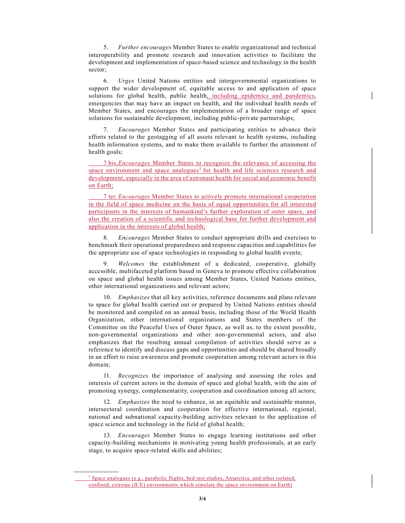5. Further encourages Member States to enable organizational and technical interoperability and promote research and innovation activities to facilitate the development and implementation of space-based science and technology in the health sector;

 6. Urges United Nations entities and intergovernmental organizations to support the wider development of, equitable access to and application of space solutions for global health, public health, including epidemics and pandemics, emergencies that may have an impact on health, and the individual health needs of Member States, and encourages the implementation of a broader range of space solutions for sustainable development, including public-private partnerships;

 7. Encourages Member States and participating entities to advance their efforts related to the geotagging of all assets relevant to health systems, including health information systems, and to make them available to further the attainment of health goals;

 7 bis. Encourages Member States to recognize the relevance of accessing the space environment and space analogues<sup>5</sup> for health and life sciences research and development, especially in the area of astronaut health for social and economic benefit on Earth;

 7 ter. Encourages Member States to actively promote international cooperation in the field of space medicine on the basis of equal opportunities for all interested participants in the interests of humankind's further exploration of outer space, and also the creation of a scientific and technological base for further development and application in the interests of global health;

8. Encourages Member States to conduct appropriate drills and exercises to benchmark their operational preparedness and response capacities and capabilities for the appropriate use of space technologies in responding to global health events;

Welcomes the establishment of a dedicated, cooperative, globally accessible, multifaceted platform based in Geneva to promote effective collaboration on space and global health issues among Member States, United Nations entities, other international organizations and relevant actors;

 10. Emphasizes that all key activities, reference documents and plans relevant to space for global health carried out or prepared by United Nations entities should be monitored and compiled on an annual basis, including those of the World Health Organization, other international organizations and States members of the Committee on the Peaceful Uses of Outer Space, as well as, to the extent possible, non-governmental organizations and other non-governmental actors, and also emphasizes that the resulting annual compilation of activities should serve as a reference to identify and discuss gaps and opportunities and should be shared broadly in an effort to raise awareness and promote cooperation among relevant actors in this domain;

 11. Recognizes the importance of analysing and assessing the roles and interests of current actors in the domain of space and global health, with the aim of promoting synergy, complementarity, cooperation and coordination among all actors;

12. Emphasizes the need to enhance, in an equitable and sustainable manner, intersectoral coordination and cooperation for effective international, regional, national and subnational capacity-building activities relevant to the application of space science and technology in the field of global health;

 13. Encourages Member States to engage learning institutions and other capacity-building mechanisms in motivating young health professionals, at an early stage, to acquire space-related skills and abilities;

 $\_$ 

 $\frac{5}{5}$  Space analogues (e.g., parabolic flights, bed rest studies, Antarctica, and other isolated, confined, extreme (ICE) environments which simulate the space environment on Earth)